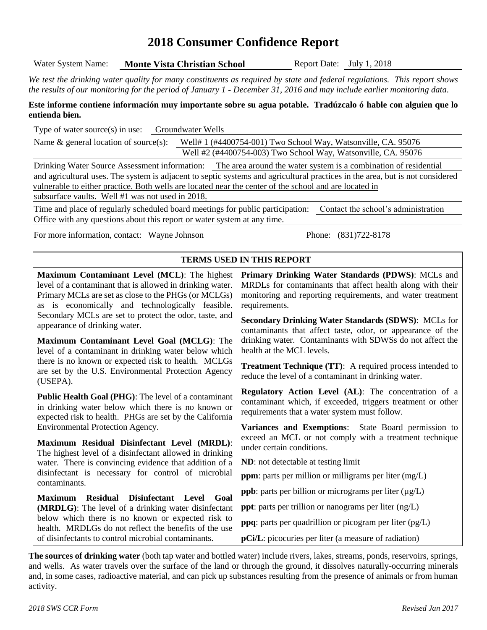## **2018 Consumer Confidence Report**

| Water System Name:<br><b>Monte Vista Christian School</b>                                                                                                                                                                                                                                                        | Report Date: July 1, 2018                                                                                                                                                                                                                                    |  |  |  |  |  |  |  |  |
|------------------------------------------------------------------------------------------------------------------------------------------------------------------------------------------------------------------------------------------------------------------------------------------------------------------|--------------------------------------------------------------------------------------------------------------------------------------------------------------------------------------------------------------------------------------------------------------|--|--|--|--|--|--|--|--|
|                                                                                                                                                                                                                                                                                                                  | We test the drinking water quality for many constituents as required by state and federal regulations. This report shows<br>the results of our monitoring for the period of January 1 - December 31, 2016 and may include earlier monitoring data.           |  |  |  |  |  |  |  |  |
| entienda bien.                                                                                                                                                                                                                                                                                                   | Este informe contiene información muy importante sobre su agua potable. Tradúzcalo ó hable con alguien que lo                                                                                                                                                |  |  |  |  |  |  |  |  |
| Type of water source(s) in use: Groundwater Wells                                                                                                                                                                                                                                                                |                                                                                                                                                                                                                                                              |  |  |  |  |  |  |  |  |
| Name & general location of source(s): Well# 1 (#4400754-001) Two School Way, Watsonville, CA. 95076                                                                                                                                                                                                              |                                                                                                                                                                                                                                                              |  |  |  |  |  |  |  |  |
|                                                                                                                                                                                                                                                                                                                  | Well #2 (#4400754-003) Two School Way, Watsonville, CA. 95076                                                                                                                                                                                                |  |  |  |  |  |  |  |  |
|                                                                                                                                                                                                                                                                                                                  | Drinking Water Source Assessment information: The area around the water system is a combination of residential                                                                                                                                               |  |  |  |  |  |  |  |  |
| vulnerable to either practice. Both wells are located near the center of the school and are located in                                                                                                                                                                                                           | and agricultural uses. The system is adjacent to septic systems and agricultural practices in the area, but is not considered                                                                                                                                |  |  |  |  |  |  |  |  |
| subsurface vaults. Well #1 was not used in 2018.                                                                                                                                                                                                                                                                 |                                                                                                                                                                                                                                                              |  |  |  |  |  |  |  |  |
|                                                                                                                                                                                                                                                                                                                  | Time and place of regularly scheduled board meetings for public participation: Contact the school's administration                                                                                                                                           |  |  |  |  |  |  |  |  |
| Office with any questions about this report or water system at any time.                                                                                                                                                                                                                                         |                                                                                                                                                                                                                                                              |  |  |  |  |  |  |  |  |
| For more information, contact: Wayne Johnson                                                                                                                                                                                                                                                                     | Phone: (831)722-8178                                                                                                                                                                                                                                         |  |  |  |  |  |  |  |  |
|                                                                                                                                                                                                                                                                                                                  |                                                                                                                                                                                                                                                              |  |  |  |  |  |  |  |  |
|                                                                                                                                                                                                                                                                                                                  | TERMS USED IN THIS REPORT                                                                                                                                                                                                                                    |  |  |  |  |  |  |  |  |
| Maximum Contaminant Level (MCL): The highest<br>level of a contaminant that is allowed in drinking water.<br>Primary MCLs are set as close to the PHGs (or MCLGs)<br>as is economically and technologically feasible.<br>Secondary MCLs are set to protect the odor, taste, and<br>appearance of drinking water. | Primary Drinking Water Standards (PDWS): MCLs and<br>MRDLs for contaminants that affect health along with their<br>monitoring and reporting requirements, and water treatment<br>requirements.<br><b>Secondary Drinking Water Standards (SDWS): MCLs for</b> |  |  |  |  |  |  |  |  |
| Maximum Contaminant Level Goal (MCLG): The<br>level of a contaminant in drinking water below which                                                                                                                                                                                                               | contaminants that affect taste, odor, or appearance of the<br>drinking water. Contaminants with SDWSs do not affect the<br>health at the MCL levels.                                                                                                         |  |  |  |  |  |  |  |  |
| there is no known or expected risk to health. MCLGs<br>are set by the U.S. Environmental Protection Agency<br>(USEPA).                                                                                                                                                                                           | <b>Treatment Technique (TT):</b> A required process intended to<br>reduce the level of a contaminant in drinking water.                                                                                                                                      |  |  |  |  |  |  |  |  |
| <b>Public Health Goal (PHG):</b> The level of a contaminant<br>in drinking water below which there is no known or<br>expected risk to health. PHGs are set by the California                                                                                                                                     | Regulatory Action Level (AL): The concentration of a<br>contaminant which, if exceeded, triggers treatment or other<br>requirements that a water system must follow.                                                                                         |  |  |  |  |  |  |  |  |
| Environmental Protection Agency.<br>Maximum Residual Disinfectant Level (MRDL):                                                                                                                                                                                                                                  | Variances and Exemptions: State Board permission to<br>exceed an MCL or not comply with a treatment technique<br>under certain conditions.                                                                                                                   |  |  |  |  |  |  |  |  |
| The highest level of a disinfectant allowed in drinking<br>water. There is convincing evidence that addition of a                                                                                                                                                                                                | <b>ND</b> : not detectable at testing limit                                                                                                                                                                                                                  |  |  |  |  |  |  |  |  |
| disinfectant is necessary for control of microbial<br>contaminants.                                                                                                                                                                                                                                              | <b>ppm</b> : parts per million or milligrams per liter (mg/L)                                                                                                                                                                                                |  |  |  |  |  |  |  |  |
| <b>Residual</b><br>Disinfectant Level<br>Goal                                                                                                                                                                                                                                                                    | ppb: parts per billion or micrograms per liter $(\mu g/L)$                                                                                                                                                                                                   |  |  |  |  |  |  |  |  |
| <b>Maximum</b><br>(MRDLG): The level of a drinking water disinfectant                                                                                                                                                                                                                                            | <b>ppt</b> : parts per trillion or nanograms per liter $(ng/L)$                                                                                                                                                                                              |  |  |  |  |  |  |  |  |
| below which there is no known or expected risk to<br>health. MRDLGs do not reflect the benefits of the use                                                                                                                                                                                                       | <b>ppq</b> : parts per quadrillion or picogram per liter (pg/L)                                                                                                                                                                                              |  |  |  |  |  |  |  |  |
| of disinfectants to control microbial contaminants.                                                                                                                                                                                                                                                              | <b>pCi/L</b> : picocuries per liter (a measure of radiation)                                                                                                                                                                                                 |  |  |  |  |  |  |  |  |
|                                                                                                                                                                                                                                                                                                                  | The sources of drinking water (both tap water and bottled water) include rivers, lakes, streams, ponds, reservoirs, springs,                                                                                                                                 |  |  |  |  |  |  |  |  |

and wells. As water travels over the surface of the land or through the ground, it dissolves naturally-occurring minerals and, in some cases, radioactive material, and can pick up substances resulting from the presence of animals or from human activity.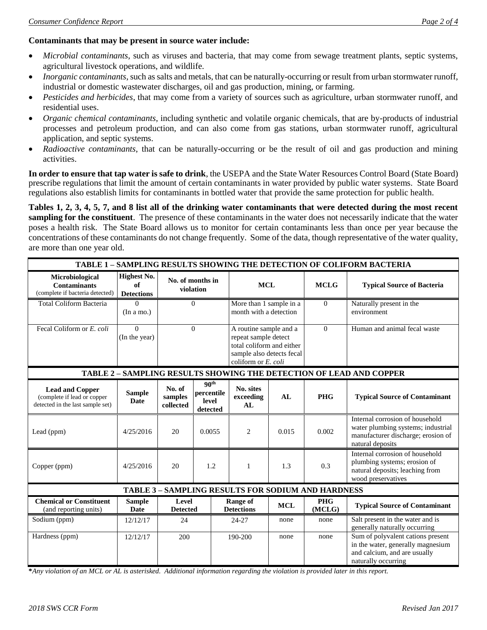## **Contaminants that may be present in source water include:**

- *Microbial contaminants*, such as viruses and bacteria, that may come from sewage treatment plants, septic systems, agricultural livestock operations, and wildlife.
- *Inorganic contaminants*, such as salts and metals, that can be naturally-occurring or result from urban stormwater runoff, industrial or domestic wastewater discharges, oil and gas production, mining, or farming.
- *Pesticides and herbicides*, that may come from a variety of sources such as agriculture, urban stormwater runoff, and residential uses.
- *Organic chemical contaminants*, including synthetic and volatile organic chemicals, that are by-products of industrial processes and petroleum production, and can also come from gas stations, urban stormwater runoff, agricultural application, and septic systems.
- *Radioactive contaminants*, that can be naturally-occurring or be the result of oil and gas production and mining activities.

**In order to ensure that tap water is safe to drink**, the USEPA and the State Water Resources Control Board (State Board) prescribe regulations that limit the amount of certain contaminants in water provided by public water systems. State Board regulations also establish limits for contaminants in bottled water that provide the same protection for public health.

**Tables 1, 2, 3, 4, 5, 7, and 8 list all of the drinking water contaminants that were detected during the most recent sampling for the constituent**. The presence of these contaminants in the water does not necessarily indicate that the water poses a health risk. The State Board allows us to monitor for certain contaminants less than once per year because the concentrations of these contaminants do not change frequently. Some of the data, though representative of the water quality, are more than one year old.

| TABLE 1 - SAMPLING RESULTS SHOWING THE DETECTION OF COLIFORM BACTERIA                     |                                        |                                |                                                     |                                                                                                                                 |                                                   |                      |                                                                                                                                 |
|-------------------------------------------------------------------------------------------|----------------------------------------|--------------------------------|-----------------------------------------------------|---------------------------------------------------------------------------------------------------------------------------------|---------------------------------------------------|----------------------|---------------------------------------------------------------------------------------------------------------------------------|
| Microbiological<br><b>Contaminants</b><br>(complete if bacteria detected)                 | Highest No.<br>of<br><b>Detections</b> | No. of months in<br>violation  |                                                     |                                                                                                                                 | <b>MCL</b>                                        |                      | <b>Typical Source of Bacteria</b>                                                                                               |
| <b>Total Coliform Bacteria</b>                                                            | 0<br>(In a mo.)                        |                                | $\Omega$                                            |                                                                                                                                 | More than 1 sample in a<br>month with a detection |                      | Naturally present in the<br>environment                                                                                         |
| Fecal Coliform or E. coli                                                                 | $\Omega$<br>(In the year)              | $\Omega$                       |                                                     | A routine sample and a<br>repeat sample detect<br>total coliform and either<br>sample also detects fecal<br>coliform or E. coli |                                                   | $\Omega$             | Human and animal fecal waste                                                                                                    |
|                                                                                           |                                        |                                |                                                     |                                                                                                                                 |                                                   |                      | TABLE 2 - SAMPLING RESULTS SHOWING THE DETECTION OF LEAD AND COPPER                                                             |
| <b>Lead and Copper</b><br>(complete if lead or copper<br>detected in the last sample set) | <b>Sample</b><br><b>Date</b>           | No. of<br>samples<br>collected | 90 <sup>th</sup><br>percentile<br>level<br>detected | No. sites<br>exceeding<br>AL                                                                                                    | AL                                                | <b>PHG</b>           | <b>Typical Source of Contaminant</b>                                                                                            |
| Lead (ppm)                                                                                | 4/25/2016                              | 20                             | 0.0055                                              | $\overline{2}$                                                                                                                  | 0.015                                             | 0.002                | Internal corrosion of household<br>water plumbing systems; industrial<br>manufacturer discharge; erosion of<br>natural deposits |
| Copper (ppm)                                                                              | 4/25/2016                              | 20                             | 1.2                                                 | $\mathbf{1}$                                                                                                                    | 1.3                                               | 0.3                  | Internal corrosion of household<br>plumbing systems; erosion of<br>natural deposits; leaching from<br>wood preservatives        |
| <b>TABLE 3 - SAMPLING RESULTS FOR SODIUM AND HARDNESS</b>                                 |                                        |                                |                                                     |                                                                                                                                 |                                                   |                      |                                                                                                                                 |
| <b>Chemical or Constituent</b><br>(and reporting units)                                   | <b>Sample</b><br><b>Date</b>           | Level<br><b>Detected</b>       |                                                     | <b>Range of</b><br><b>Detections</b>                                                                                            | <b>MCL</b>                                        | <b>PHG</b><br>(MCLG) | <b>Typical Source of Contaminant</b>                                                                                            |
| Sodium (ppm)                                                                              | 12/12/17                               | 24                             |                                                     | 24-27                                                                                                                           | none                                              | none                 | Salt present in the water and is<br>generally naturally occurring                                                               |
| Hardness (ppm)                                                                            | 12/12/17                               | 200                            |                                                     | 190-200                                                                                                                         | none                                              | none                 | Sum of polyvalent cations present<br>in the water, generally magnesium<br>and calcium, and are usually<br>naturally occurring   |

**\****Any violation of an MCL or AL is asterisked. Additional information regarding the violation is provided later in this report.*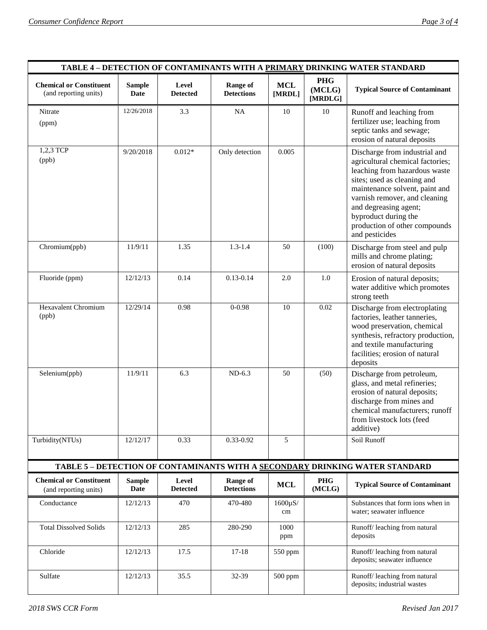| TABLE 4 - DETECTION OF CONTAMINANTS WITH A PRIMARY DRINKING WATER STANDARD   |                              |                          |                                      |                      |                                 |                                                                                                                                                                                                                                                                                                          |  |
|------------------------------------------------------------------------------|------------------------------|--------------------------|--------------------------------------|----------------------|---------------------------------|----------------------------------------------------------------------------------------------------------------------------------------------------------------------------------------------------------------------------------------------------------------------------------------------------------|--|
| <b>Chemical or Constituent</b><br>(and reporting units)                      | <b>Sample</b><br><b>Date</b> | Level<br><b>Detected</b> | <b>Range of</b><br><b>Detections</b> | <b>MCL</b><br>[MRDL] | <b>PHG</b><br>(MCLG)<br>[MRDLG] | <b>Typical Source of Contaminant</b>                                                                                                                                                                                                                                                                     |  |
| Nitrate<br>(ppm)                                                             | 12/26/2018                   | 3.3                      | NA                                   | 10                   | 10                              | Runoff and leaching from<br>fertilizer use; leaching from<br>septic tanks and sewage;<br>erosion of natural deposits                                                                                                                                                                                     |  |
| 1,2,3 TCP<br>(ppb)                                                           | 9/20/2018                    | $0.012*$                 | Only detection                       | 0.005                |                                 | Discharge from industrial and<br>agricultural chemical factories;<br>leaching from hazardous waste<br>sites; used as cleaning and<br>maintenance solvent, paint and<br>varnish remover, and cleaning<br>and degreasing agent;<br>byproduct during the<br>production of other compounds<br>and pesticides |  |
| Chromium(ppb)                                                                | 11/9/11                      | 1.35                     | $1.3 - 1.4$                          | 50                   | (100)                           | Discharge from steel and pulp<br>mills and chrome plating;<br>erosion of natural deposits                                                                                                                                                                                                                |  |
| Fluoride (ppm)                                                               | 12/12/13                     | 0.14                     | $0.13 - 0.14$                        | 2.0                  | 1.0                             | Erosion of natural deposits;<br>water additive which promotes<br>strong teeth                                                                                                                                                                                                                            |  |
| <b>Hexavalent Chromium</b><br>(ppb)                                          | 12/29/14                     | 0.98                     | $0 - 0.98$                           | 10                   | 0.02                            | Discharge from electroplating<br>factories, leather tanneries,<br>wood preservation, chemical<br>synthesis, refractory production,<br>and textile manufacturing<br>facilities; erosion of natural<br>deposits                                                                                            |  |
| Selenium(ppb)                                                                | 11/9/11                      | 6.3                      | $ND-6.3$                             | 50                   | (50)                            | Discharge from petroleum,<br>glass, and metal refineries;<br>erosion of natural deposits;<br>discharge from mines and<br>chemical manufacturers; runoff<br>from livestock lots (feed<br>additive)                                                                                                        |  |
| Turbidity(NTUs)                                                              | 12/12/17                     | 0.33                     | 0.33-0.92                            | 5                    |                                 | Soil Runoff                                                                                                                                                                                                                                                                                              |  |
| TABLE 5 - DETECTION OF CONTAMINANTS WITH A SECONDARY DRINKING WATER STANDARD |                              |                          |                                      |                      |                                 |                                                                                                                                                                                                                                                                                                          |  |
| <b>Chemical or Constituent</b><br>(and reporting units)                      | <b>Sample</b><br>Date        | Level<br><b>Detected</b> | <b>Range of</b><br><b>Detections</b> | <b>MCL</b>           | PHG<br>(MCLG)                   | <b>Typical Source of Contaminant</b>                                                                                                                                                                                                                                                                     |  |
| Conductance                                                                  | 12/12/13                     | 470                      | 470-480                              | $1600\mu$ S/<br>cm   |                                 | Substances that form ions when in<br>water; seawater influence                                                                                                                                                                                                                                           |  |
| <b>Total Dissolved Solids</b>                                                | 12/12/13                     | 285                      | 280-290                              | 1000<br>ppm          |                                 | Runoff/ leaching from natural<br>deposits                                                                                                                                                                                                                                                                |  |
| Chloride                                                                     | 12/12/13                     | 17.5                     | $17 - 18$                            | 550 ppm              |                                 | Runoff/leaching from natural<br>deposits; seawater influence                                                                                                                                                                                                                                             |  |
| Sulfate                                                                      | 12/12/13                     | 35.5                     | 32-39                                | 500 ppm              |                                 | Runoff/leaching from natural<br>deposits; industrial wastes                                                                                                                                                                                                                                              |  |